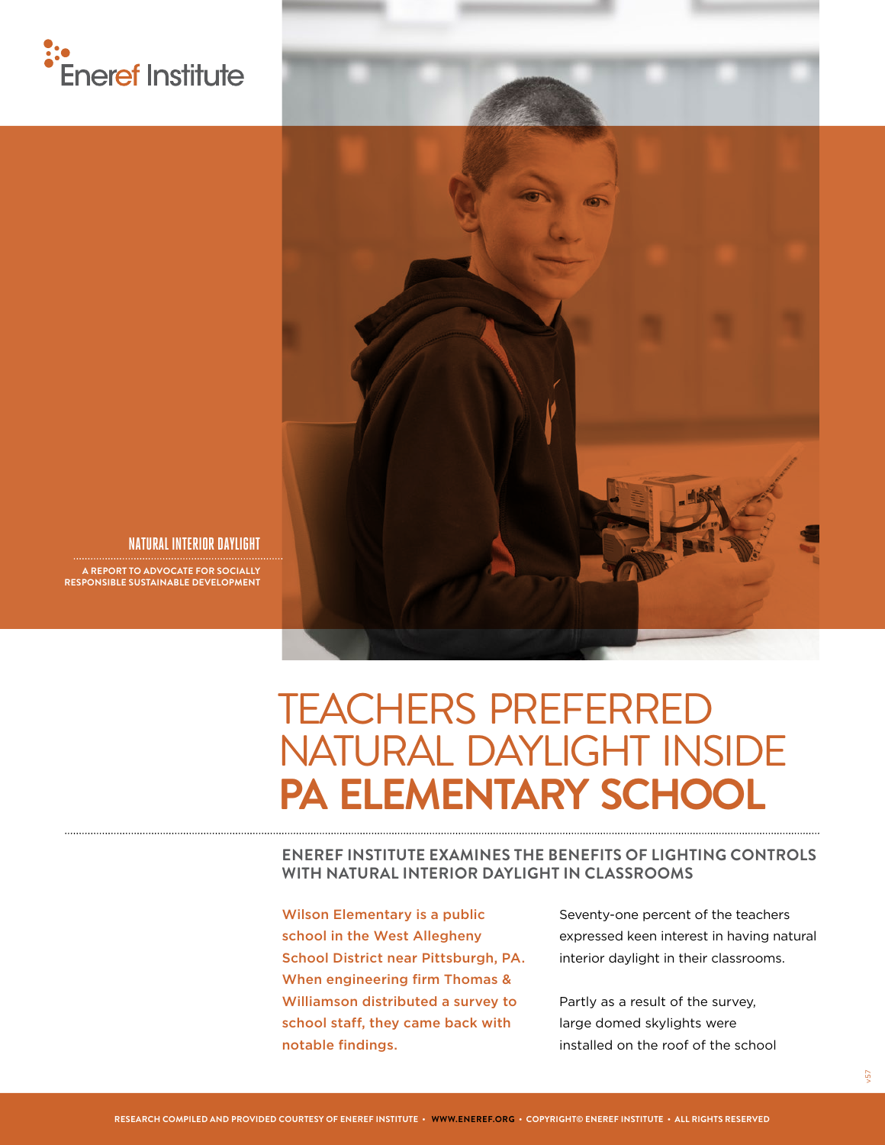



#### **NATURAL INTERIOR DAYLIGHT**

**A REPORT TO ADVOCATE FOR SOCIALLY RESPONSIBLE SUSTAINABLE DEVELOPMENT**

## TEACHERS PREFERRED NATURAL DAYLIGHT INSIDE **PA ELEMENTARY SCHOOL**

**ENEREF INSTITUTE EXAMINES THE BENEFITS OF LIGHTING CONTROLS WITH NATURAL INTERIOR DAYLIGHT IN CLASSROOMS**

Wilson Elementary is a public school in the West Allegheny School District near Pittsburgh, PA. When engineering firm Thomas & Williamson distributed a survey to school staff, they came back with notable findings.

Seventy-one percent of the teachers expressed keen interest in having natural interior daylight in their classrooms.

Partly as a result of the survey, large domed skylights were installed on the roof of the school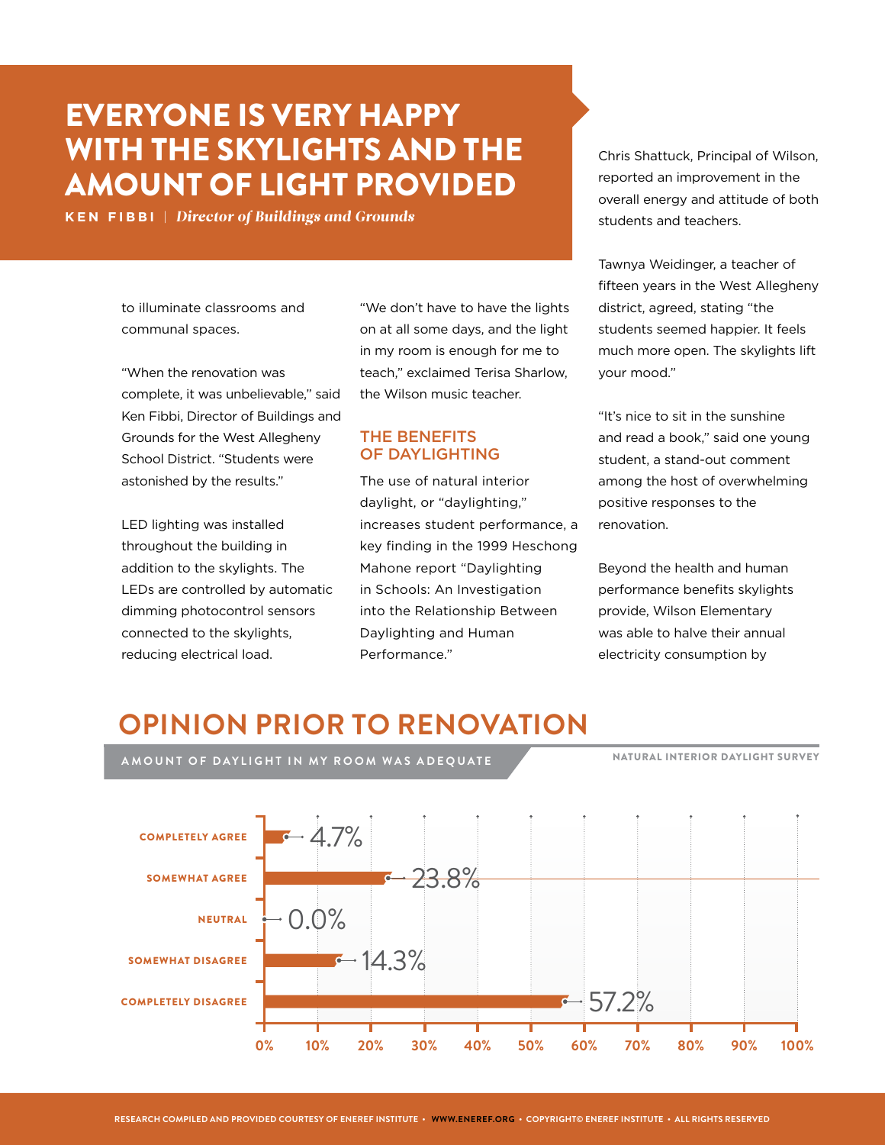## EVERYONE IS VERY HAPPY WITH THE SKYLIGHTS AND THE AMOUNT OF LIGHT PROVIDED

**KEN FIBBI** | *Director of Buildings and Grounds*

to illuminate classrooms and communal spaces.

"When the renovation was complete, it was unbelievable," said Ken Fibbi, Director of Buildings and Grounds for the West Allegheny School District. "Students were astonished by the results."

LED lighting was installed throughout the building in addition to the skylights. The LEDs are controlled by automatic dimming photocontrol sensors connected to the skylights, reducing electrical load.

COMPLETELY AGREE

SOMEWHAT AGREE

SOMEWHAT DISAGREE

COMPLETELY DISAGREE

NEUTRAL

"We don't have to have the lights on at all some days, and the light in my room is enough for me to teach," exclaimed Terisa Sharlow, the Wilson music teacher.

#### THE BENEFITS OF DAYLIGHTING

The use of natural interior daylight, or "daylighting," increases student performance, a key finding in the 1999 Heschong Mahone report "Daylighting in Schools: An Investigation into the Relationship Between Daylighting and Human Performance."

Chris Shattuck, Principal of Wilson, reported an improvement in the overall energy and attitude of both students and teachers.

Tawnya Weidinger, a teacher of fifteen years in the West Allegheny district, agreed, stating "the students seemed happier. It feels much more open. The skylights lift your mood."

"It's nice to sit in the sunshine and read a book," said one young student, a stand-out comment among the host of overwhelming positive responses to the renovation.

Beyond the health and human performance benefits skylights provide, Wilson Elementary was able to halve their annual electricity consumption by

## **OPINION PRIOR TO RENOVATION**

 $-14.3%$ 



57.2%

**0% 10% 20% 30% 40% 50% 60% 70% 80% 90% 100%**

**AMOUNT OF DAYLIGHT IN MY ROOM WAS ADEQUATE**

 $\cdot$  0.0%

NATURAL INTERIOR DAYLIGHT SURVEY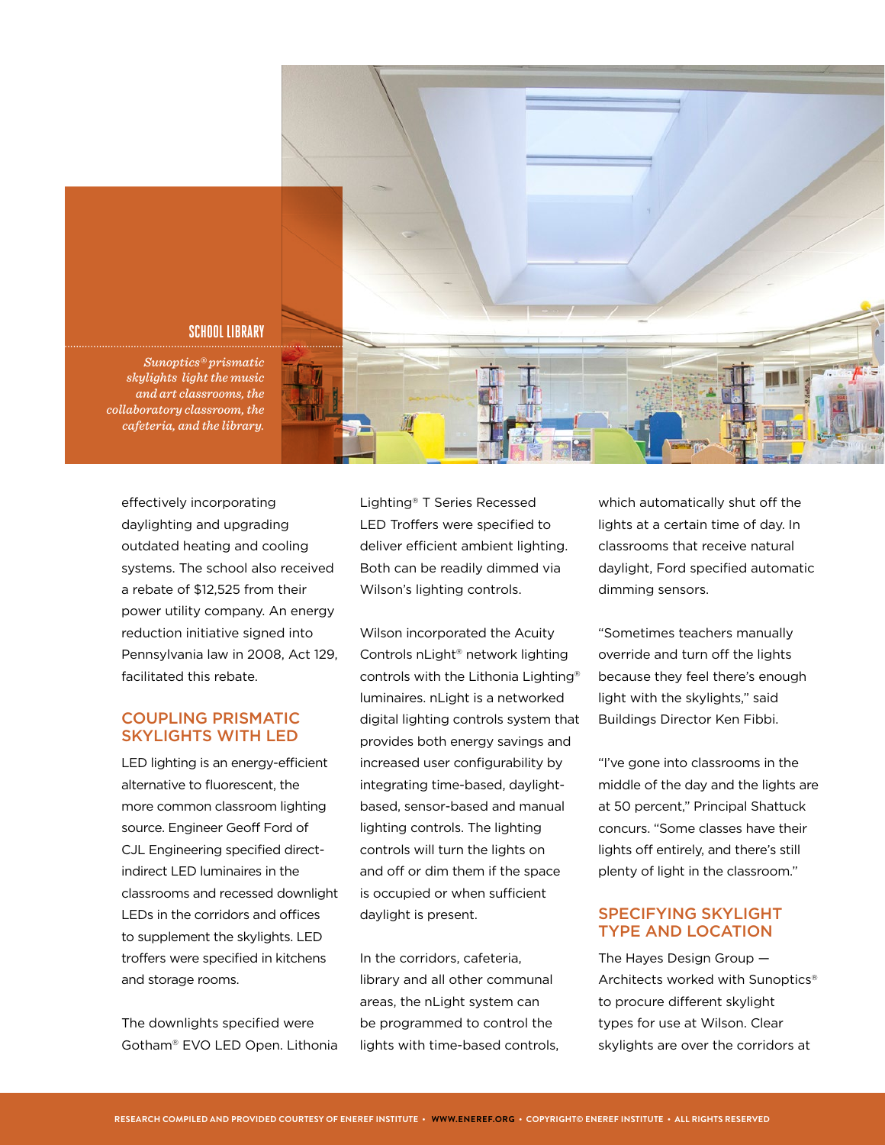

effectively incorporating daylighting and upgrading outdated heating and cooling systems. The school also received a rebate of \$12,525 from their power utility company. An energy reduction initiative signed into Pennsylvania law in 2008, Act 129, facilitated this rebate.

#### COUPLING PRISMATIC SKYLIGHTS WITH LED

LED lighting is an energy-efficient alternative to fluorescent, the more common classroom lighting source. Engineer Geoff Ford of CJL Engineering specified directindirect LED luminaires in the classrooms and recessed downlight LEDs in the corridors and offices to supplement the skylights. LED troffers were specified in kitchens and storage rooms.

The downlights specified were Gotham® EVO LED Open. Lithonia Lighting® T Series Recessed LED Troffers were specified to deliver efficient ambient lighting. Both can be readily dimmed via Wilson's lighting controls.

Wilson incorporated the Acuity Controls nLight® network lighting controls with the Lithonia Lighting® luminaires. nLight is a networked digital lighting controls system that provides both energy savings and increased user configurability by integrating time-based, daylightbased, sensor-based and manual lighting controls. The lighting controls will turn the lights on and off or dim them if the space is occupied or when sufficient daylight is present.

In the corridors, cafeteria, library and all other communal areas, the nLight system can be programmed to control the lights with time-based controls,

which automatically shut off the lights at a certain time of day. In classrooms that receive natural daylight, Ford specified automatic dimming sensors.

"Sometimes teachers manually override and turn off the lights because they feel there's enough light with the skylights," said Buildings Director Ken Fibbi.

"I've gone into classrooms in the middle of the day and the lights are at 50 percent," Principal Shattuck concurs. "Some classes have their lights off entirely, and there's still plenty of light in the classroom."

#### SPECIFYING SKYLIGHT TYPE AND LOCATION

The Hayes Design Group — Architects worked with Sunoptics® to procure different skylight types for use at Wilson. Clear skylights are over the corridors at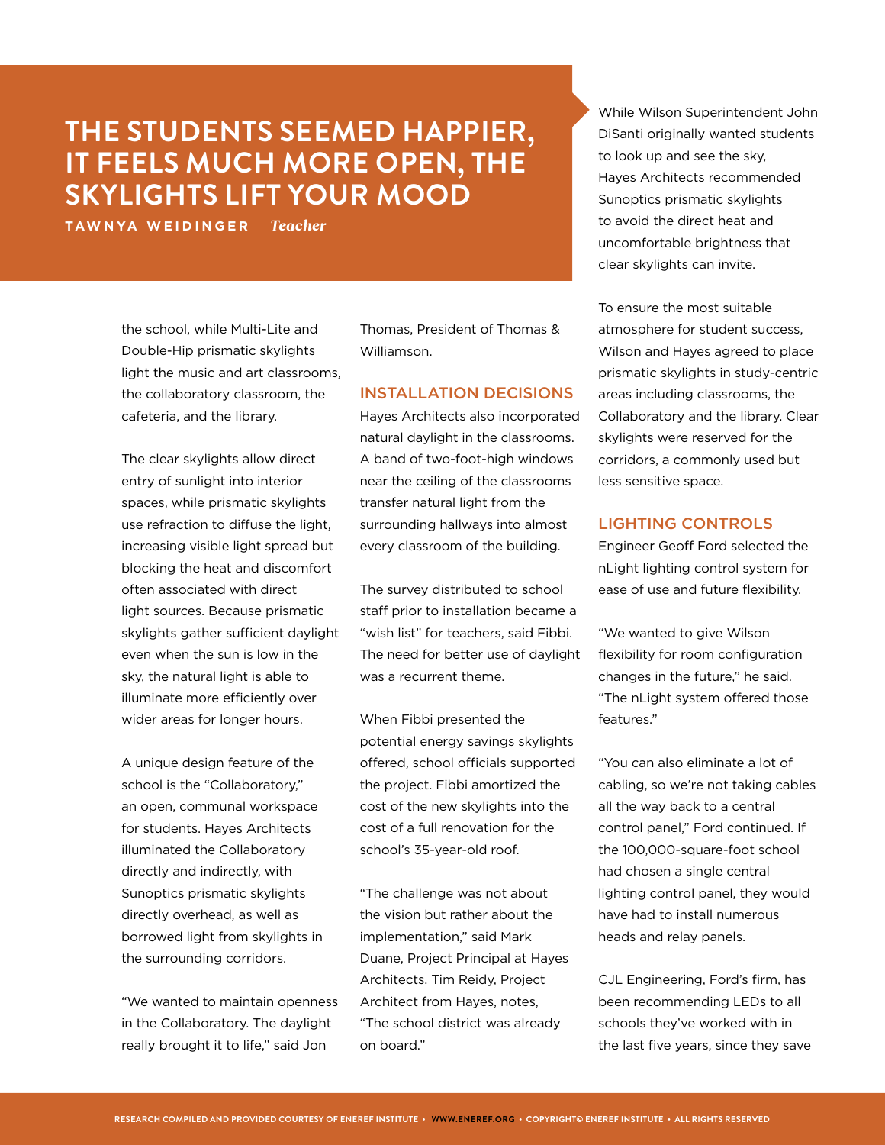## **THE STUDENTS SEEMED HAPPIER, IT FEELS MUCH MORE OPEN, THE SKYLIGHTS LIFT YOUR MOOD**

**TAWNYA WEIDINGER** | *Teacher*

the school, while Multi-Lite and Double-Hip prismatic skylights light the music and art classrooms, the collaboratory classroom, the cafeteria, and the library.

The clear skylights allow direct entry of sunlight into interior spaces, while prismatic skylights use refraction to diffuse the light, increasing visible light spread but blocking the heat and discomfort often associated with direct light sources. Because prismatic skylights gather sufficient daylight even when the sun is low in the sky, the natural light is able to illuminate more efficiently over wider areas for longer hours.

A unique design feature of the school is the "Collaboratory," an open, communal workspace for students. Hayes Architects illuminated the Collaboratory directly and indirectly, with Sunoptics prismatic skylights directly overhead, as well as borrowed light from skylights in the surrounding corridors.

"We wanted to maintain openness in the Collaboratory. The daylight really brought it to life," said Jon

Thomas, President of Thomas & Williamson.

#### INSTALLATION DECISIONS

Hayes Architects also incorporated natural daylight in the classrooms. A band of two-foot-high windows near the ceiling of the classrooms transfer natural light from the surrounding hallways into almost every classroom of the building.

The survey distributed to school staff prior to installation became a "wish list" for teachers, said Fibbi. The need for better use of daylight was a recurrent theme.

When Fibbi presented the potential energy savings skylights offered, school officials supported the project. Fibbi amortized the cost of the new skylights into the cost of a full renovation for the school's 35-year-old roof.

"The challenge was not about the vision but rather about the implementation," said Mark Duane, Project Principal at Hayes Architects. Tim Reidy, Project Architect from Hayes, notes, "The school district was already on board."

While Wilson Superintendent John DiSanti originally wanted students to look up and see the sky, Hayes Architects recommended Sunoptics prismatic skylights to avoid the direct heat and uncomfortable brightness that clear skylights can invite.

To ensure the most suitable atmosphere for student success, Wilson and Hayes agreed to place prismatic skylights in study-centric areas including classrooms, the Collaboratory and the library. Clear skylights were reserved for the corridors, a commonly used but less sensitive space.

#### LIGHTING CONTROLS

Engineer Geoff Ford selected the nLight lighting control system for ease of use and future flexibility.

"We wanted to give Wilson flexibility for room configuration changes in the future," he said. "The nLight system offered those features."

"You can also eliminate a lot of cabling, so we're not taking cables all the way back to a central control panel," Ford continued. If the 100,000-square-foot school had chosen a single central lighting control panel, they would have had to install numerous heads and relay panels.

CJL Engineering, Ford's firm, has been recommending LEDs to all schools they've worked with in the last five years, since they save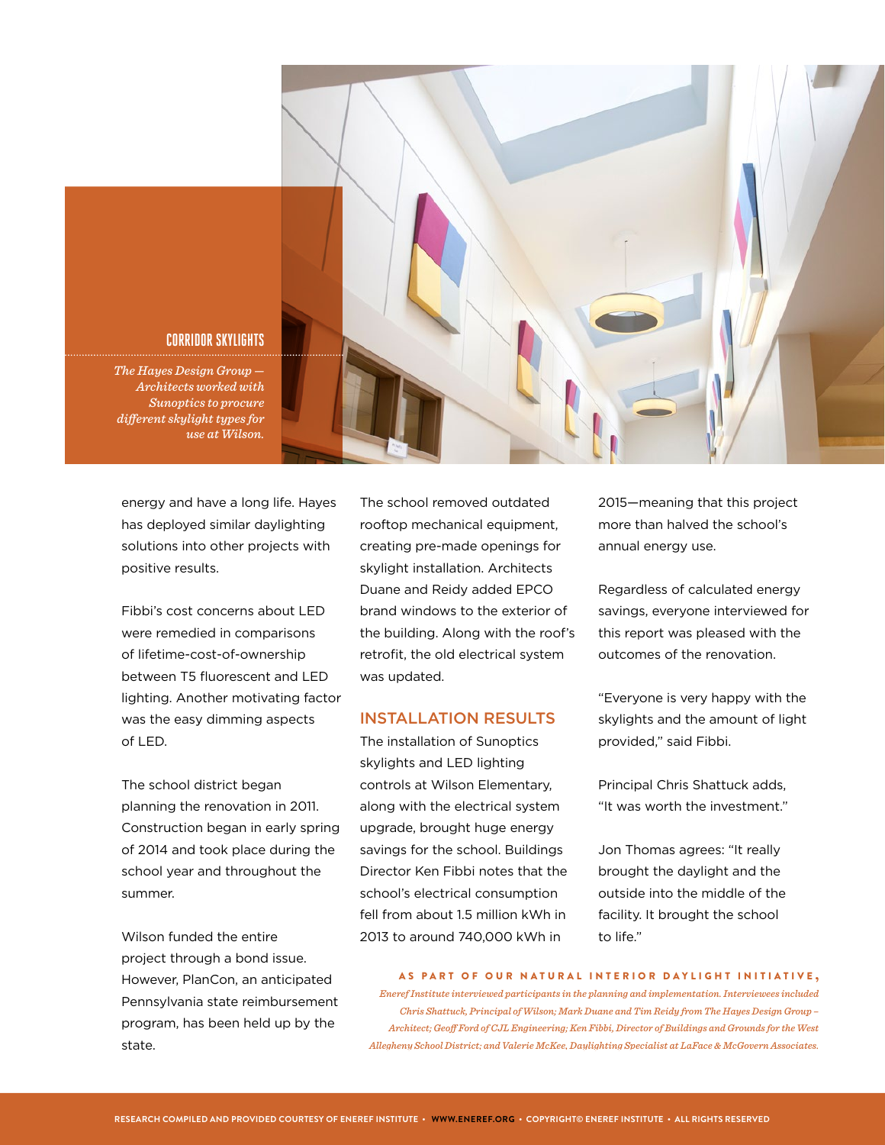

#### *The Hayes Design Group —*

**CORRIDOR SKYLIGHTS**

*Architects worked with Sunoptics to procure different skylight types for use at Wilson.* 

energy and have a long life. Hayes has deployed similar daylighting solutions into other projects with positive results.

Fibbi's cost concerns about LED were remedied in comparisons of lifetime-cost-of-ownership between T5 fluorescent and LED lighting. Another motivating factor was the easy dimming aspects of LED.

The school district began planning the renovation in 2011. Construction began in early spring of 2014 and took place during the school year and throughout the summer.

Wilson funded the entire project through a bond issue. However, PlanCon, an anticipated Pennsylvania state reimbursement program, has been held up by the state.

The school removed outdated rooftop mechanical equipment, creating pre-made openings for skylight installation. Architects Duane and Reidy added EPCO brand windows to the exterior of the building. Along with the roof's retrofit, the old electrical system was updated.

#### INSTALLATION RESULTS

The installation of Sunoptics skylights and LED lighting controls at Wilson Elementary, along with the electrical system upgrade, brought huge energy savings for the school. Buildings Director Ken Fibbi notes that the school's electrical consumption fell from about 1.5 million kWh in 2013 to around 740,000 kWh in

2015—meaning that this project more than halved the school's annual energy use.

Regardless of calculated energy savings, everyone interviewed for this report was pleased with the outcomes of the renovation.

"Everyone is very happy with the skylights and the amount of light provided," said Fibbi.

Principal Chris Shattuck adds, "It was worth the investment."

Jon Thomas agrees: "It really brought the daylight and the outside into the middle of the facility. It brought the school to life."

#### AS PART OF OUR NATURAL INTERIOR DAYLIGHT INITIATIVE ,

*Eneref Institute interviewed participants in the planning and implementation. Interviewees included Chris Shattuck, Principal of Wilson; Mark Duane and Tim Reidy from The Hayes Design Group – Architect; Geoff Ford of CJL Engineering; Ken Fibbi, Director of Buildings and Grounds for the West Allegheny School District; and Valerie McKee, Daylighting Specialist at LaFace & McGovern Associates.*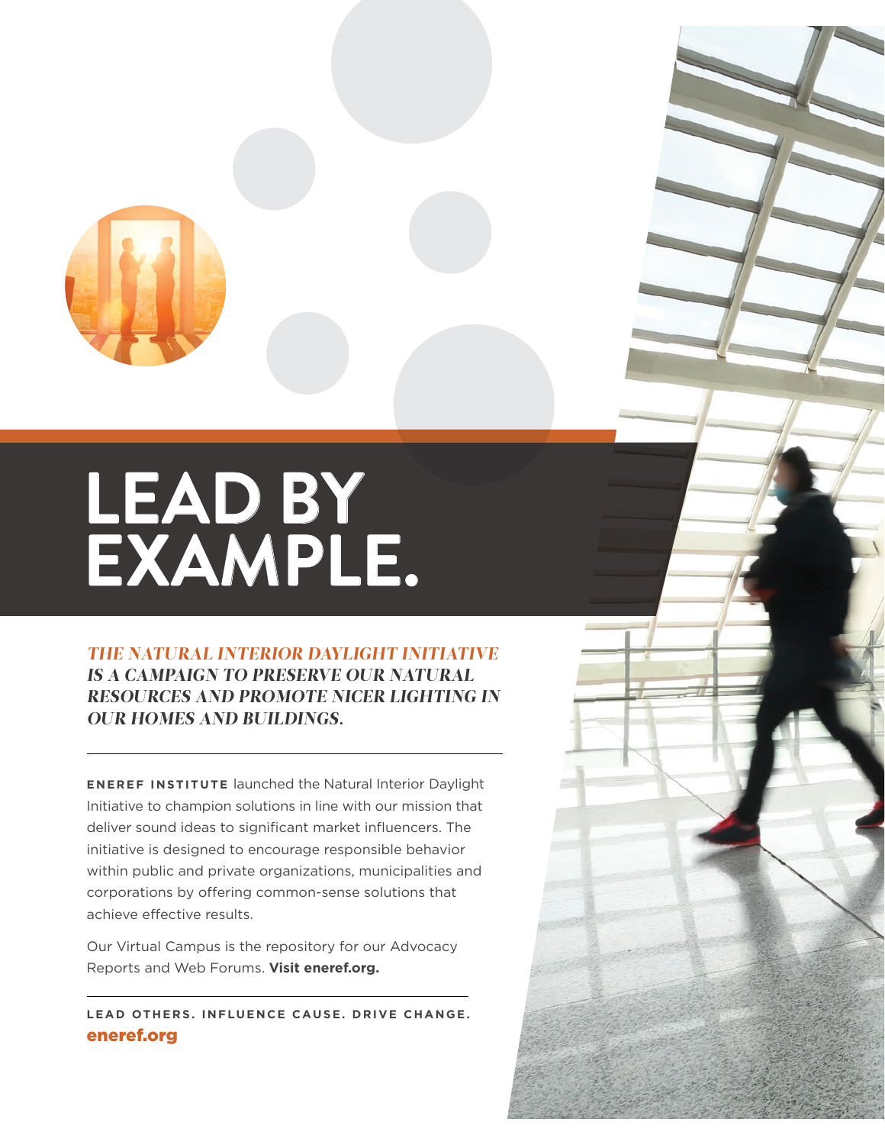

# **LEAD BY EXAMPLE.**

#### *THE NATURAL INTERIOR DAYLIGHT INITIATIVE IS A CAMPAIGN TO PRESERVE OUR NATURAL RESOURCES AND PROMOTE NICER LIGHTING IN OUR HOMES AND BUILDINGS.*

**ENEREF INSTITUTE** launched the Natural Interior Daylight Initiative to champion solutions in line with our mission that deliver sound ideas to significant market influencers. The initiative is designed to encourage responsible behavior within public and private organizations, municipalities and corporations by offering common-sense solutions that achieve effective results.

Our Virtual Campus is the repository for our Advocacy Reports and Web Forums. **Visit eneref.org.**

**LEAD OTHERS. INFLUENCE CAUSE. DRIVE CHANGE.** eneref.org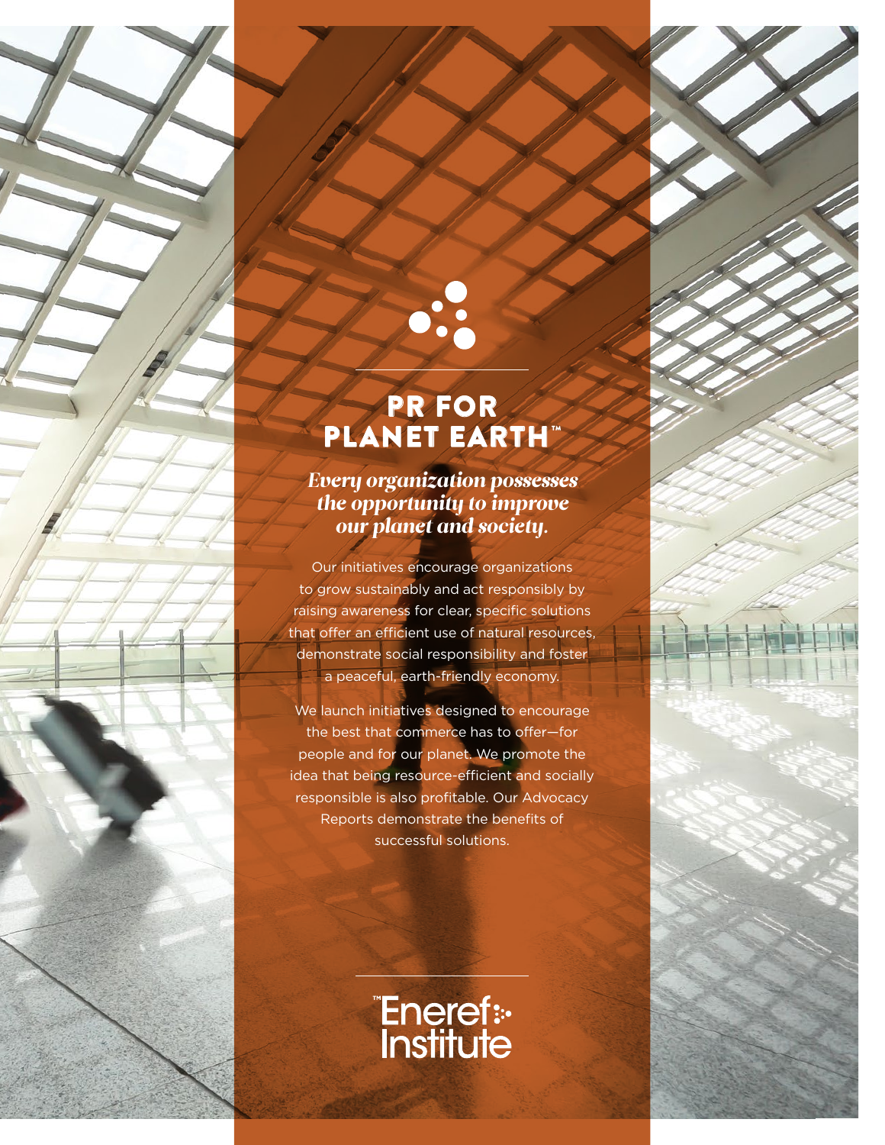

## PR FOR PLANET EARTH™

 $\mathbf{0}$ 

#### *Every organization possesses the opportunity to improve our planet and society.*

Our initiatives encourage organizations to grow sustainably and act responsibly by raising awareness for clear, specific solutions that offer an efficient use of natural resources, demonstrate social responsibility and foster a peaceful, earth-friendly economy.

We launch initiatives designed to encourage the best that commerce has to offer—for people and for our planet. We promote the idea that being resource-efficient and socially responsible is also profitable. Our Advocacy Reports demonstrate the benefits of successful solutions.

**Eneref:-**<br>Institute